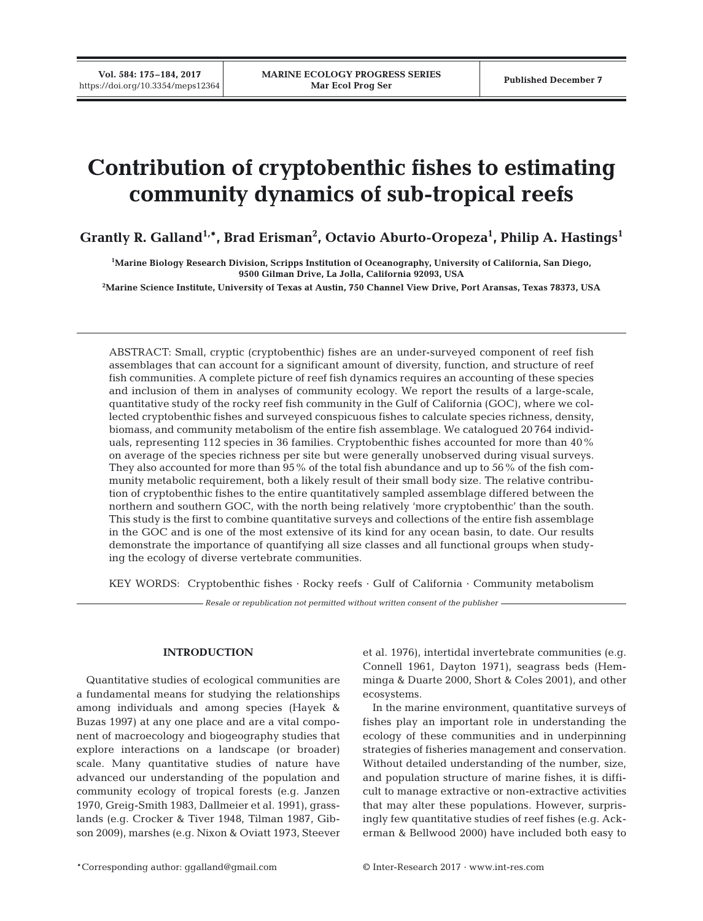# **Contribution of cryptobenthic fishes to estimating community dynamics of sub-tropical reefs**

**Grantly R. Galland1,\*, Brad Erisman2 , Octavio Aburto-Oropeza1 , Philip A. Hastings1**

**1 Marine Biology Research Division, Scripps Institution of Oceanography, University of California, San Diego, 9500 Gilman Drive, La Jolla, California 92093, USA**

**2 Marine Science Institute, University of Texas at Austin, 750 Channel View Drive, Port Aransas, Texas 78373, USA**

ABSTRACT: Small, cryptic (cryptobenthic) fishes are an under-surveyed component of reef fish assemblages that can account for a significant amount of diversity, function, and structure of reef fish communities. A complete picture of reef fish dynamics requires an accounting of these species and inclusion of them in analyses of community ecology. We report the results of a large-scale, quantitative study of the rocky reef fish community in the Gulf of California (GOC), where we collected cryptobenthic fishes and surveyed conspicuous fishes to calculate species richness, density, biomass, and community metabolism of the entire fish assemblage. We catalogued 20 764 individuals, representing 112 species in 36 families. Cryptobenthic fishes accounted for more than 40% on average of the species richness per site but were generally unobserved during visual surveys. They also accounted for more than 95% of the total fish abundance and up to 56% of the fish community metabolic requirement, both a likely result of their small body size. The relative contribution of cryptobenthic fishes to the entire quantitatively sampled assemblage differed between the northern and southern GOC, with the north being relatively 'more cryptobenthic' than the south. This study is the first to combine quantitative surveys and collections of the entire fish assemblage in the GOC and is one of the most extensive of its kind for any ocean basin, to date. Our results demonstrate the importance of quantifying all size classes and all functional groups when studying the ecology of diverse vertebrate communities.

KEY WORDS: Cryptobenthic fishes  $\cdot$  Rocky reefs  $\cdot$  Gulf of California  $\cdot$  Community metabolism

*Resale or republication not permitted without written consent of the publisher*

## **INTRODUCTION**

Quantitative studies of ecological communities are a fundamental means for studying the relationships among individuals and among species (Hayek & Buzas 1997) at any one place and are a vital component of macroecology and biogeography studies that explore interactions on a landscape (or broader) scale. Many quantitative studies of nature have advanced our understanding of the population and community ecology of tropical forests (e.g. Janzen 1970, Greig-Smith 1983, Dallmeier et al. 1991), grasslands (e.g. Crocker & Tiver 1948, Tilman 1987, Gibson 2009), marshes (e.g. Nixon & Oviatt 1973, Steever et al. 1976), intertidal invertebrate communities (e.g. Connell 1961, Dayton 1971), seagrass beds (Hemminga & Duarte 2000, Short & Coles 2001), and other ecosystems.

In the marine environment, quantitative surveys of fishes play an important role in understanding the ecology of these communities and in underpinning strategies of fisheries management and conservation. Without detailed understanding of the number, size, and population structure of marine fishes, it is difficult to manage extractive or non-extractive activities that may alter these populations. However, surprisingly few quantitative studies of reef fishes (e.g. Ackerman & Bellwood 2000) have included both easy to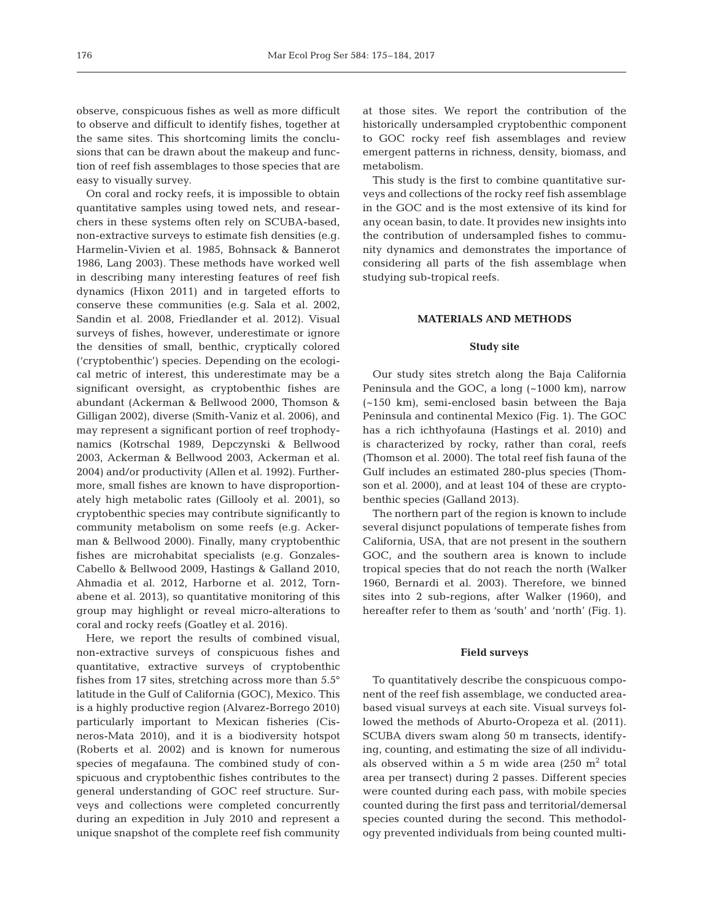observe, conspicuous fishes as well as more difficult to observe and difficult to identify fishes, together at the same sites. This shortcoming limits the conclusions that can be drawn about the makeup and function of reef fish assemblages to those species that are easy to visually survey.

On coral and rocky reefs, it is impossible to obtain quantitative samples using towed nets, and researchers in these systems often rely on SCUBA-based, non-extractive surveys to estimate fish densities (e.g. Harmelin-Vivien et al. 1985, Bohnsack & Bannerot 1986, Lang 2003). These methods have worked well in describing many interesting features of reef fish dynamics (Hixon 2011) and in targeted efforts to conserve these communities (e.g. Sala et al. 2002, Sandin et al. 2008, Friedlander et al. 2012). Visual surveys of fishes, however, underestimate or ignore the densities of small, benthic, cryptically colored ('crypto benthic') species. Depending on the ecological metric of interest, this underestimate may be a significant oversight, as cryptobenthic fishes are abundant (Ackerman & Bellwood 2000, Thomson & Gilligan 2002), diverse (Smith-Vaniz et al. 2006), and may represent a significant portion of reef trophodynamics (Kotrschal 1989, Depczynski & Bellwood 2003, Ackerman & Bellwood 2003, Ackerman et al. 2004) and/or productivity (Allen et al. 1992). Furthermore, small fishes are known to have disproportionately high metabolic rates (Gillooly et al. 2001), so cryptobenthic species may contribute significantly to community metabolism on some reefs (e.g. Ackerman & Bellwood 2000). Finally, many cryptobenthic fishes are microhabitat specialists (e.g. Gonzales-Cabello & Bellwood 2009, Hastings & Galland 2010, Ahmadia et al. 2012, Harborne et al. 2012, Tornabene et al. 2013), so quantitative monitoring of this group may highlight or reveal micro-alterations to coral and rocky reefs (Goatley et al. 2016).

Here, we report the results of combined visual, non-extractive surveys of conspicuous fishes and quantitative, extractive surveys of cryptobenthic fishes from 17 sites, stretching across more than 5.5° latitude in the Gulf of California (GOC), Mexico. This is a highly productive region (Alvarez-Borrego 2010) particularly important to Mexican fisheries (Cisneros-Mata 2010), and it is a biodiversity hotspot (Roberts et al. 2002) and is known for numerous species of megafauna. The combined study of conspicuous and cryptobenthic fishes contributes to the general understanding of GOC reef structure. Surveys and collections were completed concurrently during an expedition in July 2010 and represent a unique snapshot of the complete reef fish community

at those sites. We report the contribution of the historically undersampled cryptobenthic component to GOC rocky reef fish assemblages and review emergent patterns in richness, density, biomass, and metabolism.

This study is the first to combine quantitative surveys and collections of the rocky reef fish assemblage in the GOC and is the most extensive of its kind for any ocean basin, to date. It provides new insights into the contribution of undersampled fishes to community dynamics and demonstrates the importance of considering all parts of the fish assemblage when studying sub-tropical reefs.

### **MATERIALS AND METHODS**

#### **Study site**

Our study sites stretch along the Baja California Peninsula and the GOC, a long (~1000 km), narrow (~150 km), semi-enclosed basin between the Baja Peninsula and continental Mexico (Fig. 1). The GOC has a rich ichthyofauna (Hastings et al. 2010) and is characterized by rocky, rather than coral, reefs (Thomson et al. 2000). The total reef fish fauna of the Gulf includes an estimated 280-plus species (Thomson et al. 2000), and at least 104 of these are cryptobenthic species (Galland 2013).

The northern part of the region is known to include several disjunct populations of temperate fishes from California, USA, that are not present in the southern GOC, and the southern area is known to include tropical species that do not reach the north (Walker 1960, Bernardi et al. 2003). Therefore, we binned sites into 2 sub-regions, after Walker (1960), and hereafter refer to them as 'south' and 'north' (Fig. 1).

#### **Field surveys**

To quantitatively describe the conspicuous component of the reef fish assemblage, we conducted areabased visual surveys at each site. Visual surveys followed the methods of Aburto-Oropeza et al. (2011). SCUBA divers swam along 50 m transects, identifying, counting, and estimating the size of all individuals observed within a 5 m wide area  $(250 \text{ m}^2 \text{ total})$ area per transect) during 2 passes. Different species were counted during each pass, with mobile species counted during the first pass and territorial/demersal species counted during the second. This methodology prevented individuals from being counted multi-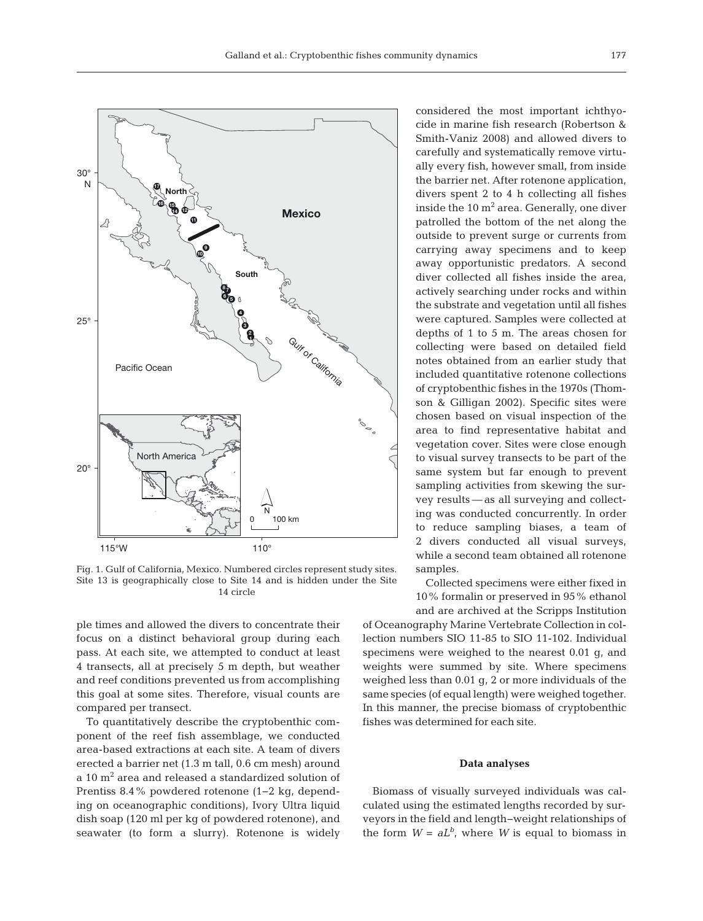

Fig. 1. Gulf of California, Mexico. Numbered circles represent study sites. Site 13 is geographically close to Site 14 and is hidden under the Site 14 circle

ple times and allowed the divers to concentrate their focus on a distinct behavioral group during each pass. At each site, we attempted to conduct at least 4 transects, all at precisely 5 m depth, but weather and reef conditions prevented us from accomplishing this goal at some sites. Therefore, visual counts are compared per transect.

To quantitatively describe the cryptobenthic component of the reef fish assemblage, we conducted area-based extractions at each site. A team of divers erected a barrier net (1.3 m tall, 0.6 cm mesh) around a 10 m2 area and released a standardized solution of Prentiss 8.4% powdered rotenone (1−2 kg, depending on oceanographic conditions), Ivory Ultra liquid dish soap (120 ml per kg of powdered rotenone), and seawater (to form a slurry). Rotenone is widely considered the most important ichthyocide in marine fish research (Robertson & Smith-Vaniz 2008) and allowed divers to carefully and systematically remove virtually every fish, however small, from inside the barrier net. After rotenone application, divers spent 2 to 4 h collecting all fishes inside the  $10 \text{ m}^2$  area. Generally, one diver patrolled the bottom of the net along the outside to prevent surge or currents from carrying away specimens and to keep away opportunistic predators. A second diver collected all fishes inside the area, actively searching under rocks and within the substrate and vegetation until all fishes were captured. Samples were collected at depths of 1 to 5 m. The areas chosen for collecting were based on detailed field notes obtained from an earlier study that included quantitative rotenone collections of cryptobenthic fishes in the 1970s (Thom son & Gilligan 2002). Specific sites were chosen based on visual inspection of the area to find representative habitat and vegetation cover. Sites were close enough to visual survey transects to be part of the same system but far enough to prevent sampling activities from skewing the survey results — as all surveying and collecting was conducted concurrently. In order to reduce sampling biases, a team of 2 divers conducted all visual surveys, while a second team obtained all rotenone samples.

Collected specimens were either fixed in 10% formalin or preserved in 95% ethanol and are archived at the Scripps Institution

of Oceanography Marine Vertebrate Collection in collection numbers SIO 11-85 to SIO 11-102. Individual specimens were weighed to the nearest 0.01 g, and weights were summed by site. Where specimens weighed less than 0.01 g, 2 or more individuals of the same species (of equal length) were weighed together. In this manner, the precise biomass of cryptobenthic fishes was determined for each site.

## **Data analyses**

Biomass of visually surveyed individuals was calculated using the estimated lengths recorded by surveyors in the field and length−weight relationships of the form  $W = aL^b$ , where *W* is equal to biomass in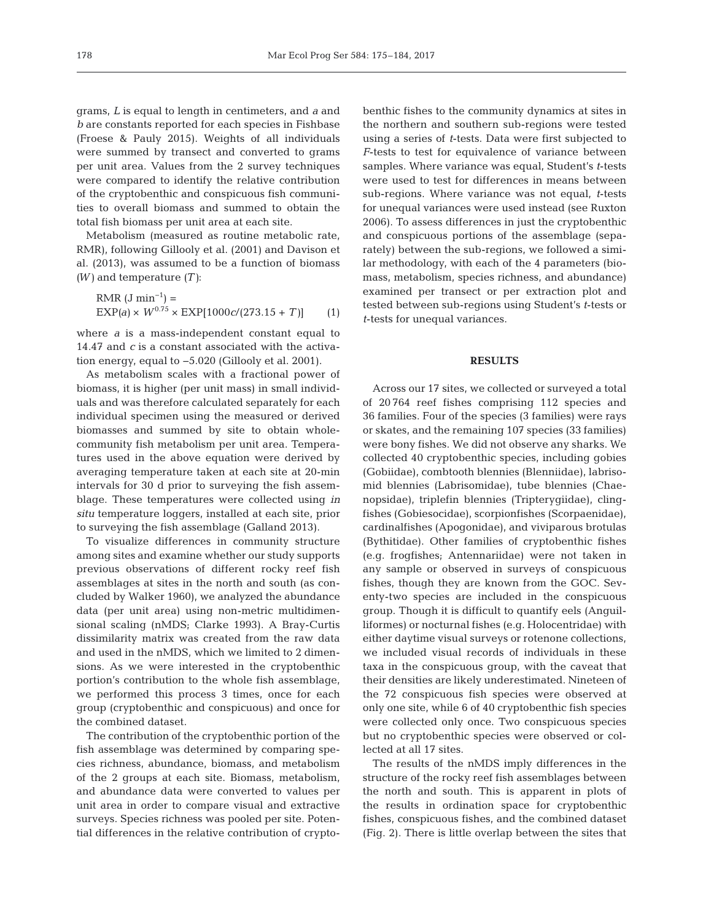grams, *L* is equal to length in centimeters, and *a* and *b* are constants reported for each species in Fishbase (Froese & Pauly 2015). Weights of all individuals were summed by transect and converted to grams per unit area. Values from the 2 survey techniques were compared to identify the relative contribution of the cryptobenthic and conspicuous fish communities to overall biomass and summed to obtain the total fish biomass per unit area at each site.

Metabolism (measured as routine metabolic rate, RMR), following Gillooly et al. (2001) and Davison et al. (2013), was assumed to be a function of biomass *(W)* and temperature *(T)*:

RMR (J min<sup>-1</sup>) =  
EXP(a) × 
$$
W^{0.75}
$$
 × EXP[1000*c*/(273.15 + T)] (1)

where *a* is a mass-independent constant equal to 14.47 and *c* is a constant associated with the activation energy, equal to −5.020 (Gillooly et al. 2001).

As metabolism scales with a fractional power of biomass, it is higher (per unit mass) in small individuals and was therefore calculated separately for each individual specimen using the measured or derived biomasses and summed by site to obtain wholecommunity fish metabolism per unit area. Temperatures used in the above equation were derived by averaging temperature taken at each site at 20-min intervals for 30 d prior to surveying the fish assemblage. These temperatures were collected using *in situ* temperature loggers, installed at each site, prior to surveying the fish assemblage (Galland 2013).

To visualize differences in community structure among sites and examine whether our study supports previous observations of different rocky reef fish assemblages at sites in the north and south (as concluded by Walker 1960), we analyzed the abundance data (per unit area) using non-metric multidimensional scaling (nMDS; Clarke 1993). A Bray-Curtis dissimilarity matrix was created from the raw data and used in the nMDS, which we limited to 2 dimensions. As we were interested in the cryptobenthic portion's contribution to the whole fish assemblage, we performed this process 3 times, once for each group (cryptobenthic and conspicuous) and once for the combined dataset.

The contribution of the cryptobenthic portion of the fish assemblage was determined by comparing species richness, abundance, biomass, and metabolism of the 2 groups at each site. Biomass, metabolism, and abundance data were converted to values per unit area in order to compare visual and extractive surveys. Species richness was pooled per site. Potential differences in the relative contribution of cryptobenthic fishes to the community dynamics at sites in the northern and southern sub-regions were tested using a series of *t*-tests. Data were first subjected to *F*-tests to test for equivalence of variance between samples. Where variance was equal, Student's *t*-tests were used to test for differences in means between sub-regions. Where variance was not equal, *t*-tests for unequal variances were used instead (see Ruxton 2006). To assess differences in just the cryptobenthic and conspicuous portions of the assemblage (separately) between the sub-regions, we followed a similar methodology, with each of the 4 parameters (biomass, metabolism, species richness, and abundance) examined per transect or per extraction plot and tested between sub-regions using Student's *t*-tests or *t*-tests for unequal variances.

#### **RESULTS**

Across our 17 sites, we collected or surveyed a total of 20 764 reef fishes comprising 112 species and 36 families. Four of the species (3 families) were rays or skates, and the remaining 107 species (33 families) were bony fishes. We did not observe any sharks. We collected 40 cryptobenthic species, including gobies (Gobiidae), combtooth blennies (Blenniidae), labrisomid blennies (Labrisomidae), tube blennies (Chae nopsidae), triplefin blennies (Tripterygiidae), clingfishes (Gobiesocidae), scorpionfishes (Scorpaenidae), cardinalfishes (Apogonidae), and viviparous brotulas (Bythitidae). Other families of cryptobenthic fishes (e.g. frogfishes; Antennariidae) were not taken in any sample or observed in surveys of conspicuous fishes, though they are known from the GOC. Seventy-two species are included in the conspicuous group. Though it is difficult to quantify eels (Anguilliformes) or nocturnal fishes (e.g. Holocentridae) with either daytime visual surveys or rotenone collections, we included visual records of individuals in these taxa in the conspicuous group, with the caveat that their densities are likely underestimated. Nineteen of the 72 conspicuous fish species were observed at only one site, while 6 of 40 cryptobenthic fish species were collected only once. Two conspicuous species but no cryptobenthic species were observed or collected at all 17 sites.

The results of the nMDS imply differences in the structure of the rocky reef fish assemblages between the north and south. This is apparent in plots of the results in ordination space for cryptobenthic fishes, conspicuous fishes, and the combined dataset (Fig. 2). There is little overlap between the sites that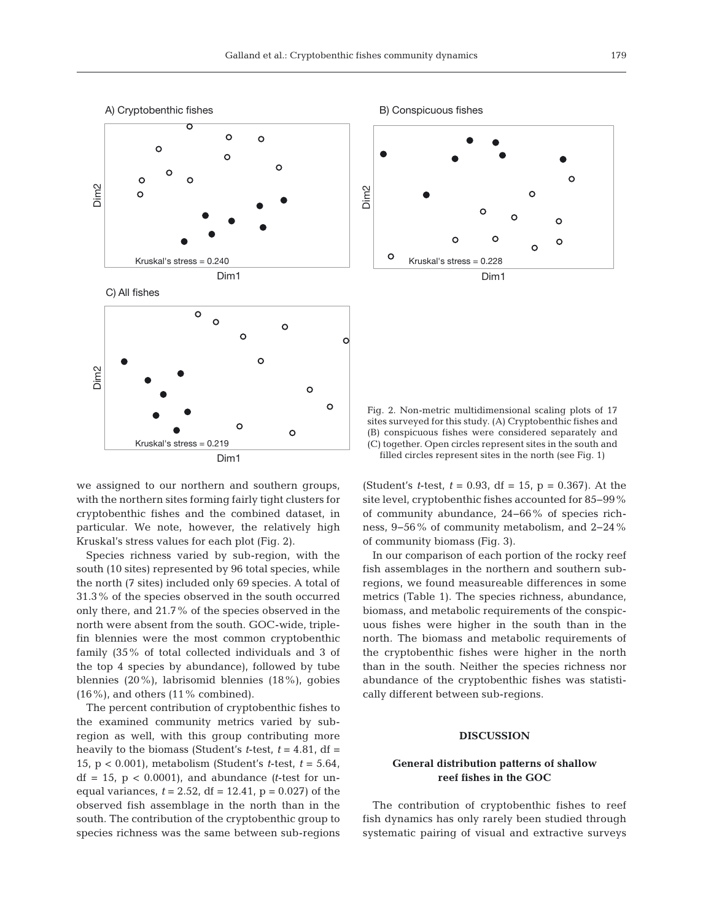

we assigned to our northern and southern groups, with the northern sites forming fairly tight clusters for cryptobenthic fishes and the combined dataset, in particular. We note, however, the relatively high Kruskal's stress values for each plot (Fig. 2).

Species richness varied by sub-region, with the south (10 sites) represented by 96 total species, while the north (7 sites) included only 69 species. A total of 31.3% of the species observed in the south occurred only there, and 21.7% of the species observed in the north were absent from the south. GOC-wide, triple fin blennies were the most common cryptobenthic family (35% of total collected individuals and 3 of the top 4 species by abundance), followed by tube blennies (20%), labrisomid blennies (18%), gobies  $(16\%)$ , and others  $(11\%$  combined).

The percent contribution of cryptobenthic fishes to the examined community metrics varied by subregion as well, with this group contributing more heavily to the biomass (Student's *t*-test,  $t = 4.81$ , df = 15, p < 0.001), metabolism (Student's *t*-test, *t* = 5.64,  $df = 15$ ,  $p < 0.0001$ ), and abundance (*t*-test for unequal variances,  $t = 2.52$ ,  $df = 12.41$ ,  $p = 0.027$ ) of the observed fish assemblage in the north than in the south. The contribution of the cryptobenthic group to species richness was the same between sub-regions



Fig. 2. Non-metric multidimensional scaling plots of 17 sites surveyed for this study. (A) Cryptobenthic fishes and (B) conspicuous fishes were considered separately and (C) together. Open circles represent sites in the south and filled circles represent sites in the north (see Fig. 1)

(Student's *t*-test, *t* = 0.93, df = 15, p = 0.367). At the site level, cryptobenthic fishes accounted for 85−99% of community abundance, 24−66% of species richness, 9−56% of community metabolism, and 2−24% of community biomass (Fig. 3).

In our comparison of each portion of the rocky reef fish assemblages in the northern and southern subregions, we found measureable differences in some metrics (Table 1). The species richness, abundance, biomass, and metabolic requirements of the conspicuous fishes were higher in the south than in the north. The biomass and metabolic requirements of the cryptobenthic fishes were higher in the north than in the south. Neither the species richness nor abundance of the cryptobenthic fishes was statistically different between sub-regions.

## **DISCUSSION**

# **General distribution patterns of shallow reef fishes in the GOC**

The contribution of cryptobenthic fishes to reef fish dynamics has only rarely been studied through systematic pairing of visual and extractive surveys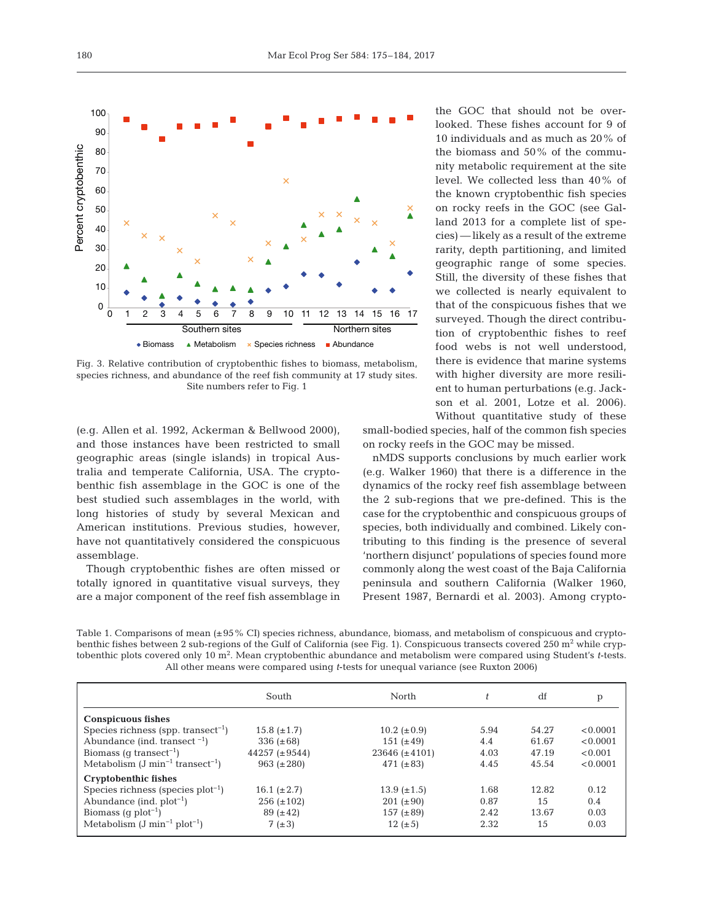

Fig. 3. Relative contribution of cryptobenthic fishes to biomass, metabolism, species richness, and abundance of the reef fish community at 17 study sites. Site numbers refer to Fig. 1

(e.g. Allen et al. 1992, Ackerman & Bellwood 2000), and those instances have been restricted to small geographic areas (single islands) in tropical Australia and temperate California, USA. The cryptobenthic fish assemblage in the GOC is one of the best studied such assemblages in the world, with long histories of study by several Mexican and American institutions. Previous studies, however, have not quantitatively considered the conspicuous assemblage.

Though cryptobenthic fishes are often missed or totally ignored in quantitative visual surveys, they are a major component of the reef fish assemblage in the GOC that should not be overlooked. These fishes account for 9 of 10 individuals and as much as 20% of the biomass and 50% of the community metabolic requirement at the site level. We collected less than 40% of the known cryptobenthic fish species on rocky reefs in the GOC (see Galland 2013 for a complete list of species) — likely as a result of the extreme rarity, depth partitioning, and limited geographic range of some species. Still, the diversity of these fishes that we collected is nearly equivalent to that of the conspicuous fishes that we surveyed. Though the direct contribution of cryptobenthic fishes to reef food webs is not well understood, there is evidence that marine systems with higher diversity are more resilient to human perturbations (e.g. Jackson et al. 2001, Lotze et al. 2006). Without quantitative study of these

small-bodied species, half of the common fish species on rocky reefs in the GOC may be missed.

nMDS supports conclusions by much earlier work (e.g. Walker 1960) that there is a difference in the dynamics of the rocky reef fish assemblage between the 2 sub-regions that we pre-defined. This is the case for the cryptobenthic and conspicuous groups of species, both individually and combined. Likely contributing to this finding is the presence of several 'northern disjunct' populations of species found more commonly along the west coast of the Baja California peninsula and southern California (Walker 1960, Present 1987, Bernardi et al. 2003). Among crypto-

Table 1. Comparisons of mean (±95% CI) species richness, abundance, biomass, and metabolism of conspicuous and cryptobenthic fishes between 2 sub-regions of the Gulf of California (see Fig. 1). Conspicuous transects covered 250 m<sup>2</sup> while cryptobenthic plots covered only 10 m<sup>2</sup> . Mean cryptobenthic abundance and metabolism were compared using Student's *t*-tests. All other means were compared using *t*-tests for unequal variance (see Ruxton 2006)

|                                                           | South              | North              | t.   | df    | p        |
|-----------------------------------------------------------|--------------------|--------------------|------|-------|----------|
| <b>Conspicuous fishes</b>                                 |                    |                    |      |       |          |
| Species richness (spp. transect <sup>-1</sup> )           | $15.8~(\pm 1.7)$   | 10.2 $(\pm 0.9)$   | 5.94 | 54.27 | < 0.0001 |
| Abundance (ind. transect $^{-1}$ )                        | 336 $(\pm 68)$     | 151 $(\pm 49)$     | 4.4  | 61.67 | < 0.0001 |
| Biomass (q transect <sup>-1</sup> )                       | 44257 $(\pm 9544)$ | $23646 (\pm 4101)$ | 4.03 | 47.19 | < 0.001  |
| Metabolism $(J \text{ min}^{-1}$ transect <sup>-1</sup> ) | 963 $(\pm 280)$    | 471 $(\pm 83)$     | 4.45 | 45.54 | < 0.0001 |
| <b>Cryptobenthic fishes</b>                               |                    |                    |      |       |          |
| Species richness (species $plot^{-1}$ )                   | 16.1 $(\pm 2.7)$   | $13.9 \ (\pm 1.5)$ | 1.68 | 12.82 | 0.12     |
| Abundance (ind. $plot^{-1}$ )                             | $256 (\pm 102)$    | $201 (\pm 90)$     | 0.87 | 15    | 0.4      |
| Biomass (q $plot^{-1}$ )                                  | $89 (+42)$         | 157 $(\pm 89)$     | 2.42 | 13.67 | 0.03     |
| Metabolism $(J \text{ min}^{-1} \text{ plot}^{-1})$       | $7(\pm 3)$         | 12 $(\pm 5)$       | 2.32 | 15    | 0.03     |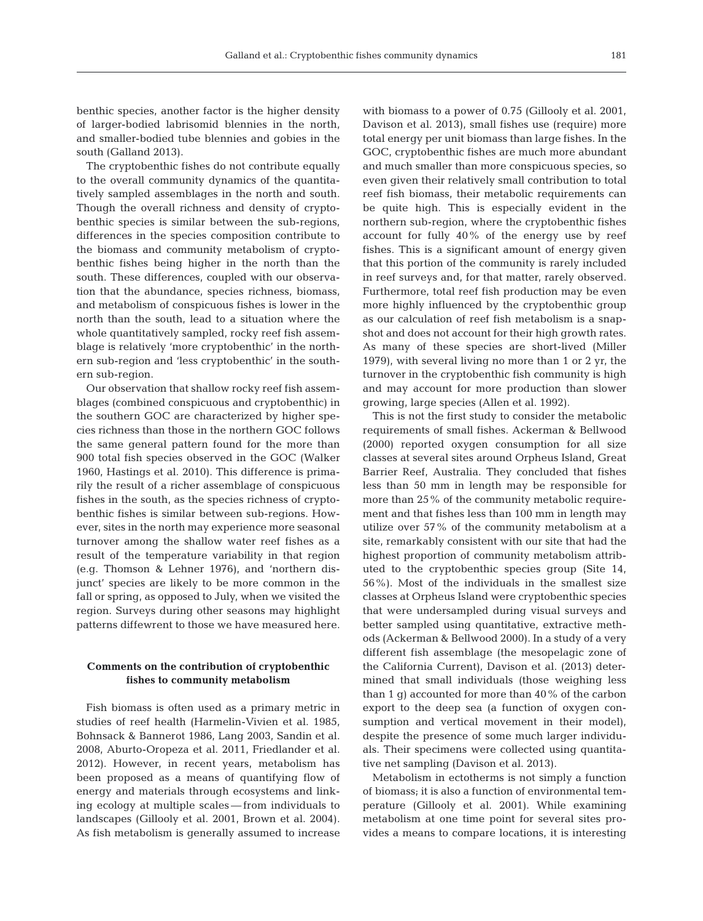benthic species, another factor is the higher density of larger-bodied labrisomid blennies in the north, and smaller-bodied tube blennies and gobies in the south (Galland 2013).

The cryptobenthic fishes do not contribute equally to the overall community dynamics of the quantitatively sampled assemblages in the north and south. Though the overall richness and density of cryptobenthic species is similar between the sub-regions, differences in the species composition contribute to the biomass and community metabolism of cryptobenthic fishes being higher in the north than the south. These differences, coupled with our observation that the abundance, species richness, biomass, and metabolism of conspicuous fishes is lower in the north than the south, lead to a situation where the whole quantitatively sampled, rocky reef fish assemblage is relatively 'more cryptobenthic' in the northern sub-region and 'less cryptobenthic' in the southern sub-region.

Our observation that shallow rocky reef fish assemblages (combined conspicuous and cryptobenthic) in the southern GOC are characterized by higher species richness than those in the northern GOC follows the same general pattern found for the more than 900 total fish species observed in the GOC (Walker 1960, Hastings et al. 2010). This difference is primarily the result of a richer assemblage of conspicuous fishes in the south, as the species richness of cryptobenthic fishes is similar between sub-regions. However, sites in the north may experience more seasonal turnover among the shallow water reef fishes as a result of the temperature variability in that region (e.g. Thomson & Lehner 1976), and 'northern disjunct' species are likely to be more common in the fall or spring, as opposed to July, when we visited the region. Surveys during other seasons may highlight patterns diffewrent to those we have measured here.

# **Comments on the contribution of cryptobenthic fishes to community metabolism**

Fish biomass is often used as a primary metric in studies of reef health (Harmelin-Vivien et al. 1985, Bohnsack & Bannerot 1986, Lang 2003, Sandin et al. 2008, Aburto-Oropeza et al. 2011, Friedlander et al. 2012). However, in recent years, metabolism has been proposed as a means of quantifying flow of energy and materials through ecosystems and linking ecology at multiple scales — from individuals to landscapes (Gillooly et al. 2001, Brown et al. 2004). As fish metabolism is generally assumed to increase with biomass to a power of 0.75 (Gillooly et al. 2001, Davison et al. 2013), small fishes use (require) more total energy per unit biomass than large fishes. In the GOC, cryptobenthic fishes are much more abundant and much smaller than more conspicuous species, so even given their relatively small contribution to total reef fish biomass, their metabolic requirements can be quite high. This is especially evident in the northern sub-region, where the cryptobenthic fishes account for fully 40% of the energy use by reef fishes. This is a significant amount of energy given that this portion of the community is rarely included in reef surveys and, for that matter, rarely observed. Furthermore, total reef fish production may be even more highly influenced by the cryptobenthic group as our calculation of reef fish metabolism is a snapshot and does not account for their high growth rates. As many of these species are short-lived (Miller 1979), with several living no more than 1 or 2 yr, the turnover in the cryptobenthic fish community is high and may account for more production than slower growing, large species (Allen et al. 1992).

This is not the first study to consider the metabolic requirements of small fishes. Ackerman & Bellwood (2000) reported oxygen consumption for all size classes at several sites around Orpheus Island, Great Barrier Reef, Australia. They concluded that fishes less than 50 mm in length may be responsible for more than 25% of the community metabolic requirement and that fishes less than 100 mm in length may utilize over 57% of the community metabolism at a site, remarkably consistent with our site that had the highest proportion of community metabolism attributed to the cryptobenthic species group (Site 14, 56%). Most of the individuals in the smallest size classes at Orpheus Island were cryptobenthic species that were undersampled during visual surveys and better sampled using quantitative, extractive methods (Ackerman & Bellwood 2000). In a study of a very different fish assemblage (the mesopelagic zone of the California Current), Davison et al. (2013) determined that small individuals (those weighing less than 1 g) accounted for more than 40% of the carbon export to the deep sea (a function of oxygen consumption and vertical movement in their model), despite the presence of some much larger individuals. Their specimens were collected using quantitative net sampling (Davison et al. 2013).

Metabolism in ectotherms is not simply a function of biomass; it is also a function of environmental temperature (Gillooly et al. 2001). While examining meta bolism at one time point for several sites provides a means to compare locations, it is interesting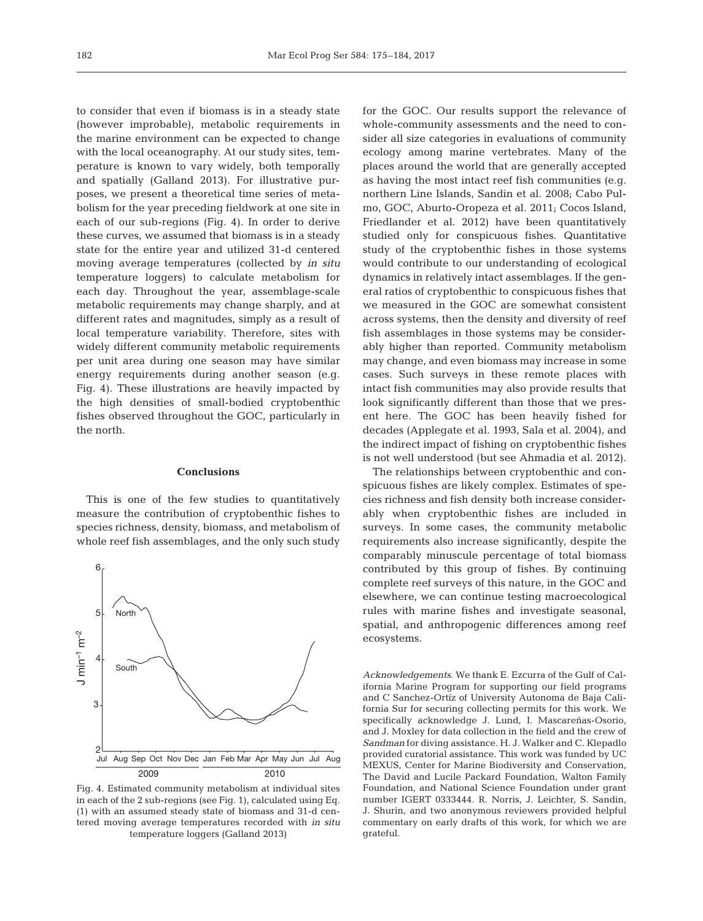to consider that even if biomass is in a steady state (however improbable), metabolic requirements in the marine environment can be expected to change with the local oceanography. At our study sites, temperature is known to vary widely, both temporally and spatially (Galland 2013). For illustrative purposes, we present a theoretical time series of metabolism for the year preceding fieldwork at one site in each of our sub-regions (Fig. 4). In order to derive these curves, we assumed that biomass is in a steady state for the entire year and utilized 31-d centered moving average temperatures (collected by *in situ* temperature loggers) to calculate metabolism for each day. Throughout the year, assemblage-scale metabolic requirements may change sharply, and at different rates and magnitudes, simply as a result of local temperature variability. Therefore, sites with widely different community metabolic requirements per unit area during one season may have similar energy requirements during another season (e.g. Fig. 4). These illustrations are heavily impacted by the high densities of small-bodied cryptobenthic fishes observed throughout the GOC, particularly in the north.

#### **Conclusions**

This is one of the few studies to quantitatively measure the contribution of cryptobenthic fishes to species richness, density, biomass, and metabolism of whole reef fish assemblages, and the only such study



2009 2010 Fig. 4. Estimated community metabolism at individual sites in each of the 2 sub-regions (see Fig. 1), calculated using Eq. (1) with an assumed steady state of biomass and 31-d centered moving average temperatures recorded with *in situ* temperature loggers (Galland 2013)

for the GOC. Our results support the relevance of whole-community assessments and the need to consider all size categories in evaluations of community ecology among marine vertebrates. Many of the places around the world that are generally accepted as having the most intact reef fish communities (e.g. northern Line Islands, Sandin et al. 2008; Cabo Pulmo, GOC, Aburto-Oropeza et al. 2011; Cocos Island, Friedlander et al. 2012) have been quantitatively studied only for conspicuous fishes. Quantitative study of the cryptobenthic fishes in those systems would contribute to our understanding of ecological dynamics in relatively intact assemblages. If the general ratios of cryptobenthic to conspicuous fishes that we measured in the GOC are somewhat consistent across systems, then the density and diversity of reef fish assemblages in those systems may be considerably higher than reported. Community metabolism may change, and even biomass may increase in some cases. Such surveys in these remote places with intact fish communities may also provide results that look significantly different than those that we present here. The GOC has been heavily fished for decades (Applegate et al. 1993, Sala et al. 2004), and the indirect impact of fishing on cryptobenthic fishes is not well understood (but see Ahmadia et al. 2012).

The relationships between cryptobenthic and conspicuous fishes are likely complex. Estimates of species richness and fish density both increase considerably when cryptobenthic fishes are included in surveys. In some cases, the community metabolic requirements also increase significantly, despite the comparably minuscule percentage of total biomass contributed by this group of fishes. By continuing complete reef surveys of this nature, in the GOC and elsewhere, we can continue testing macroecological rules with marine fishes and investigate seasonal, spatial, and anthropogenic differences among reef ecosystems.

*Acknowledgements*. We thank E. Ezcurra of the Gulf of California Marine Program for supporting our field programs and C Sanchez-Ortíz of University Autonoma de Baja California Sur for securing collecting permits for this work. We specifically acknowledge J. Lund, I. Mascareñas-Osorio, and J. Moxley for data collection in the field and the crew of *Sandman* for diving assistance. H. J. Walker and C. Klepadlo provided curatorial assistance. This work was funded by UC MEXUS, Center for Marine Biodiversity and Conservation, The David and Lucile Packard Foundation, Walton Family Foundation, and National Science Foundation under grant number IGERT 0333444. R. Norris, J. Leichter, S. Sandin, J. Shurin, and two anonymous reviewers provided helpful commentary on early drafts of this work, for which we are grateful.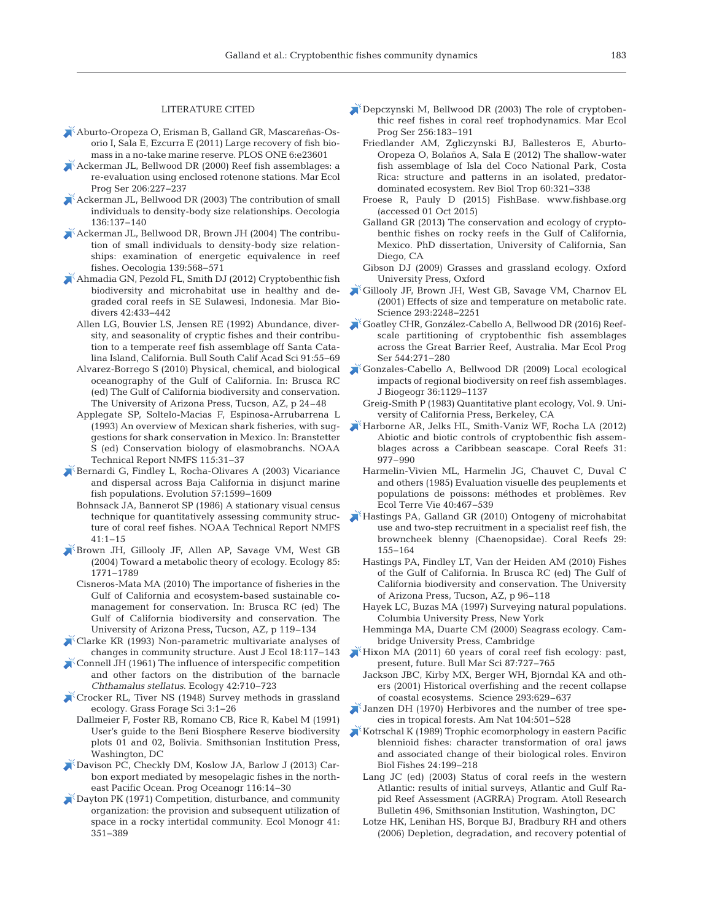#### LITERATURE CITED

- Aburto-Oropeza O, Erisman B, Galland GR, Mascareñas-Osorio I, Sala E, Ezcurra E (2011) Large recovery of fish biomass in a no-take marine reserve. PLOS ONE 6:e23601
- Ackerman JL, Bellwood DR (2000) Reef fish assemblages:a re-evaluation using enclosed rotenone stations. Mar Ecol Prog Ser 206: 227−237
- Ackerman JL, Bellwood DR (2003) The contribution of small individuals to density-body size relationships. Oecologia 136: 137−140
- Ackerman JL, Bellwood DR, Brown JH (2004) The contribution of small individuals to density-body size relationships: examination of energetic equivalence in reef fishes. Oecologia 139: 568−571
- Ahmadia GN, Pezold FL, Smith DJ (2012) Cryptobenthic fish biodiversity and microhabitat use in healthy and degraded coral reefs in SE Sulawesi, Indonesia. Mar Biodivers 42:433-442
	- Allen LG, Bouvier LS, Jensen RE (1992) Abundance, diversity, and seasonality of cryptic fishes and their contribution to a temperate reef fish assemblage off Santa Cata lina Island, California. Bull South Calif Acad Sci 91:55-69
	- Alvarez-Borrego S (2010) Physical, chemical, and biological oceanography of the Gulf of California. In: Brusca RC (ed) The Gulf of California biodiversity and conservation. The University of Arizona Press, Tucson, AZ, p 24–48
	- Applegate SP, Soltelo-Macias F, Espinosa-Arrubarrena L (1993) An overview of Mexican shark fisheries, with suggestions for shark conservation in Mexico. In: Branstetter S (ed) Conservation biology of elasmobranchs. NOAA Technical Report NMFS 115:31-37
- Bernardi G, Findley L, Rocha-Olivares A (2003) Vicariance and dispersal across Baja California in disjunct marine fish populations. Evolution 57: 1599−1609
	- Bohnsack JA, Bannerot SP (1986) A stationary visual census technique for quantitatively assessing community structure of coral reef fishes. NOAA Technical Report NMFS 41: 1−15
- Brown JH, Gillooly JF, Allen AP, Savage VM, West GB (2004) Toward a metabolic theory of ecology. Ecology 85: 1771−1789
	- Cisneros-Mata MA (2010) The importance of fisheries in the Gulf of California and ecosystem-based sustainable comanagement for conservation. In: Brusca RC (ed) The Gulf of California biodiversity and conservation. The University of Arizona Press, Tucson, AZ, p 119–134
- Clarke KR (1993) Non-parametric multivariate analyses of changes in community structure. Aust J Ecol 18: 117−143
- Connell JH (1961) The influence of interspecific competition and other factors on the distribution of the barnacle *Chthamalus stellatus*. Ecology 42: 710−723
- Crocker RL, Tiver NS (1948) Survey methods in grassland ecology. Grass Forage Sci 3: 1−26
	- Dallmeier F, Foster RB, Romano CB, Rice R, Kabel M (1991) User's guide to the Beni Biosphere Reserve biodiversity plots 01 and 02, Bolivia. Smithsonian Institution Press, Washington, DC
- Davison PC, Checkly DM, Koslow JA, Barlow J (2013) Carbon export mediated by mesopelagic fishes in the northeast Pacific Ocean. Prog Oceanogr 116: 14−30
- Dayton PK (1971) Competition, disturbance, and community organization: the provision and subsequent utilization of space in a rocky intertidal community. Ecol Monogr 41: 351−389
- Depczynski M, Bellwood DR (2003) The role of cryptobenthic reef fishes in coral reef trophodynamics. Mar Ecol Prog Ser 256: 183−191
	- Friedlander AM, Zgliczynski BJ, Ballesteros E, Aburto-Oropeza O, Bolaños A, Sala E (2012) The shallow-water fish assemblage of Isla del Coco National Park, Costa Rica: structure and patterns in an isolated, predatordominated ecosystem. Rev Biol Trop 60: 321−338
	- Froese R, Pauly D (2015) FishBase. www.fishbase.org (accessed 01 Oct 2015)
	- Galland GR (2013) The conservation and ecology of cryptobenthic fishes on rocky reefs in the Gulf of California, Mexico. PhD dissertation, University of California, San Diego, CA
	- Gibson DJ (2009) Grasses and grassland ecology. Oxford University Press, Oxford
- Gillooly JF, Brown JH, West GB, Savage VM, Charnov EL (2001) Effects of size and temperature on metabolic rate. Science 293: 2248−2251
- Goatley CHR, González-Cabello A, Bellwood DR (2016) Reefscale partitioning of cryptobenthic fish assemblages across the Great Barrier Reef, Australia. Mar Ecol Prog Ser 544:271-280
- Gonzales-Cabello A, Bellwood DR (2009) Local ecological impacts of regional biodiversity on reef fish assemblages. J Biogeogr 36: 1129−1137
	- Greig-Smith P (1983) Quantitative plant ecology, Vol. 9. University of California Press, Berkeley, CA
- Harborne AR, Jelks HL, Smith-Vaniz WF, Rocha LA (2012) Abiotic and biotic controls of cryptobenthic fish assemblages across a Caribbean seascape. Coral Reefs 31: 977–990
	- Harmelin-Vivien ML, Harmelin JG, Chauvet C, Duval C and others (1985) Evaluation visuelle des peuplements et populations de poissons: méthodes et problèmes. Rev Ecol Terre Vie 40: 467−539
- Hastings PA, Galland GR (2010) Ontogeny of microhabitat use and two-step recruitment in a specialist reef fish, the browncheek blenny (Chaenopsidae). Coral Reefs 29: 155−164
	- Hastings PA, Findley LT, Van der Heiden AM (2010) Fishes of the Gulf of California. In Brusca RC (ed) The Gulf of California biodiversity and conservation. The University of Arizona Press, Tucson, AZ, p 96–118
	- Hayek LC, Buzas MA (1997) Surveying natural populations. Columbia University Press, New York
	- Hemminga MA, Duarte CM (2000) Seagrass ecology. Cambridge University Press, Cambridge
- Hixon MA (2011) 60 years of coral reef fish ecology:past, present, future. Bull Mar Sci 87: 727−765
	- Jackson JBC, Kirby MX, Berger WH, Bjorndal KA and others (2001) Historical overfishing and the recent collapse of coastal ecosystems. Science 293:629-637
- $\delta$ Janzen DH (1970) Herbivores and the number of tree species in tropical forests. Am Nat 104:501–528
- Kotrschal K (1989) Trophic ecomorphology in eastern Pacific blennioid fishes: character transformation of oral jaws and associated change of their biological roles. Environ Biol Fishes 24: 199−218
	- Lang JC (ed) (2003) Status of coral reefs in the western Atlantic: results of initial surveys, Atlantic and Gulf Rapid Reef Assessment (AGRRA) Program. Atoll Research Bulletin 496, Smithsonian Institution, Washington, DC
	- Lotze HK, Lenihan HS, Borque BJ, Bradbury RH and others (2006) Depletion, degradation, and recovery potential of